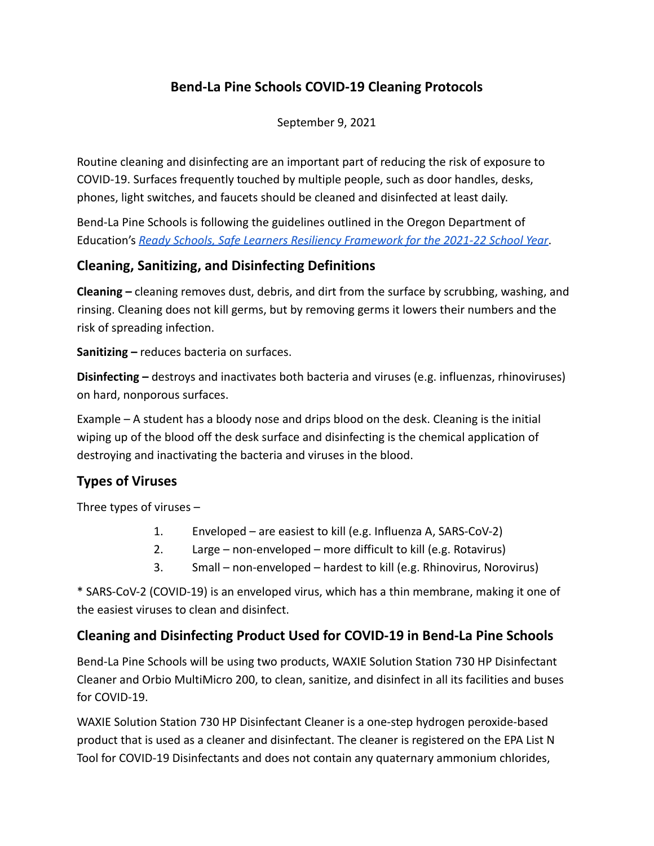## **Bend-La Pine Schools COVID-19 Cleaning Protocols**

September 9, 2021

Routine cleaning and disinfecting are an important part of reducing the risk of exposure to COVID-19. Surfaces frequently touched by multiple people, such as door handles, desks, phones, light switches, and faucets should be cleaned and disinfected at least daily.

Bend-La Pine Schools is following the guidelines outlined in the Oregon Department of Education'[s](https://www.oregon.gov/ode/students-and-family/healthsafety/Pages/Planning-for-the-2020-21-School-Year.aspx) *Ready Schools, Safe Learners Resiliency [Framework for the 2021-22 School Year](https://www.oregon.gov/ode/students-and-family/healthsafety/Documents/Ready%20Schools%20Safe%20Learners%20Resiliency%20Framework%20for%20the%202021-22%20School%20Year.pdf)*.

### **Cleaning, Sanitizing, and Disinfecting Definitions**

**Cleaning –** cleaning removes dust, debris, and dirt from the surface by scrubbing, washing, and rinsing. Cleaning does not kill germs, but by removing germs it lowers their numbers and the risk of spreading infection.

**Sanitizing –** reduces bacteria on surfaces.

**Disinfecting –** destroys and inactivates both bacteria and viruses (e.g. influenzas, rhinoviruses) on hard, nonporous surfaces.

Example – A student has a bloody nose and drips blood on the desk. Cleaning is the initial wiping up of the blood off the desk surface and disinfecting is the chemical application of destroying and inactivating the bacteria and viruses in the blood.

## **Types of Viruses**

Three types of viruses –

- 1. Enveloped are easiest to kill (e.g. Influenza A, SARS-CoV-2)
- 2. Large non-enveloped more difficult to kill (e.g. Rotavirus)
- 3. Small non-enveloped hardest to kill (e.g. Rhinovirus, Norovirus)

\* SARS-CoV-2 (COVID-19) is an enveloped virus, which has a thin membrane, making it one of the easiest viruses to clean and disinfect.

### **Cleaning and Disinfecting Product Used for COVID-19 in Bend-La Pine Schools**

Bend-La Pine Schools will be using two products, WAXIE Solution Station 730 HP Disinfectant Cleaner and Orbio MultiMicro 200, to clean, sanitize, and disinfect in all its facilities and buses for COVID-19.

WAXIE Solution Station 730 HP Disinfectant Cleaner is a one-step hydrogen peroxide-based product that is used as a cleaner and disinfectant. The cleaner is registered on the EPA List N Tool for COVID-19 Disinfectants and does not contain any quaternary ammonium chlorides,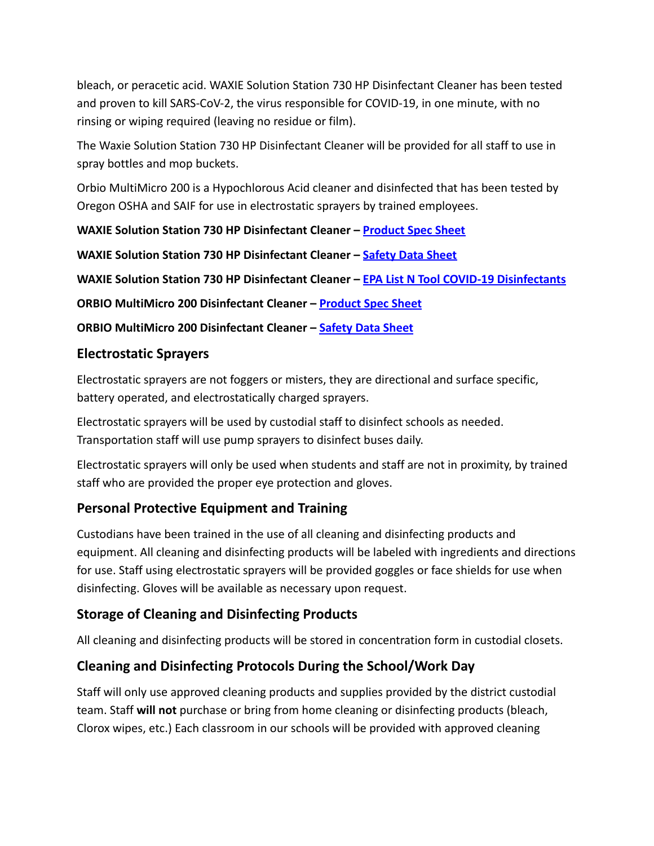bleach, or peracetic acid. WAXIE Solution Station 730 HP Disinfectant Cleaner has been tested and proven to kill SARS-CoV-2, the virus responsible for COVID-19, in one minute, with no rinsing or wiping required (leaving no residue or film).

The Waxie Solution Station 730 HP Disinfectant Cleaner will be provided for all staff to use in spray bottles and mop buckets.

Orbio MultiMicro 200 is a Hypochlorous Acid cleaner and disinfected that has been tested by Oregon OSHA and SAIF for use in electrostatic sprayers by trained employees.

**WAXIE Solution Station 730 HP Disinfectant Cleaner – [Product Spec Sheet](https://www.waxie.com/pdf/spec-sheets/170059-WAXIE-spec-sheet.pdf)**

**WAXIE Solution Station 730 HP Disinfectant Cleaner – [Safety Data Sheet](https://shop.waxie.com/mStorefront/itemDetail.do;jsessionid=1E7B1CECEF2ABC69F12005BBAF31AACB?item-number=170059&item-id=573858)**

**WAXIE Solution Station 730 HP Disinfectant Cleaner – [EPA List N Tool COVID-19 Disinfectants](https://cfpub.epa.gov/giwiz/disinfectants/index.cfm)**

**ORBIO MultiMicro 200 Disinfectant Cleaner – Product [Spec Sheet](https://www.tennantco.com/content/dam/tennant/tennantco/products/machines/orbio%20products/Shared/multimicro-200-technical-service-bulletin-en-noam.pdf)**

**ORBIO MultiMicro 200 Disinfectant Cleaner – Safety [Data Sheet](https://web.tennantco.com/globalassets/webassets/orbio/dm20071revb_sds_multimicro_200_na_en.pdf)**

#### **Electrostatic Sprayers**

Electrostatic sprayers are not foggers or misters, they are directional and surface specific, battery operated, and electrostatically charged sprayers.

Electrostatic sprayers will be used by custodial staff to disinfect schools as needed. Transportation staff will use pump sprayers to disinfect buses daily.

Electrostatic sprayers will only be used when students and staff are not in proximity, by trained staff who are provided the proper eye protection and gloves.

### **Personal Protective Equipment and Training**

Custodians have been trained in the use of all cleaning and disinfecting products and equipment. All cleaning and disinfecting products will be labeled with ingredients and directions for use. Staff using electrostatic sprayers will be provided goggles or face shields for use when disinfecting. Gloves will be available as necessary upon request.

### **Storage of Cleaning and Disinfecting Products**

All cleaning and disinfecting products will be stored in concentration form in custodial closets.

## **Cleaning and Disinfecting Protocols During the School/Work Day**

Staff will only use approved cleaning products and supplies provided by the district custodial team. Staff **will not** purchase or bring from home cleaning or disinfecting products (bleach, Clorox wipes, etc.) Each classroom in our schools will be provided with approved cleaning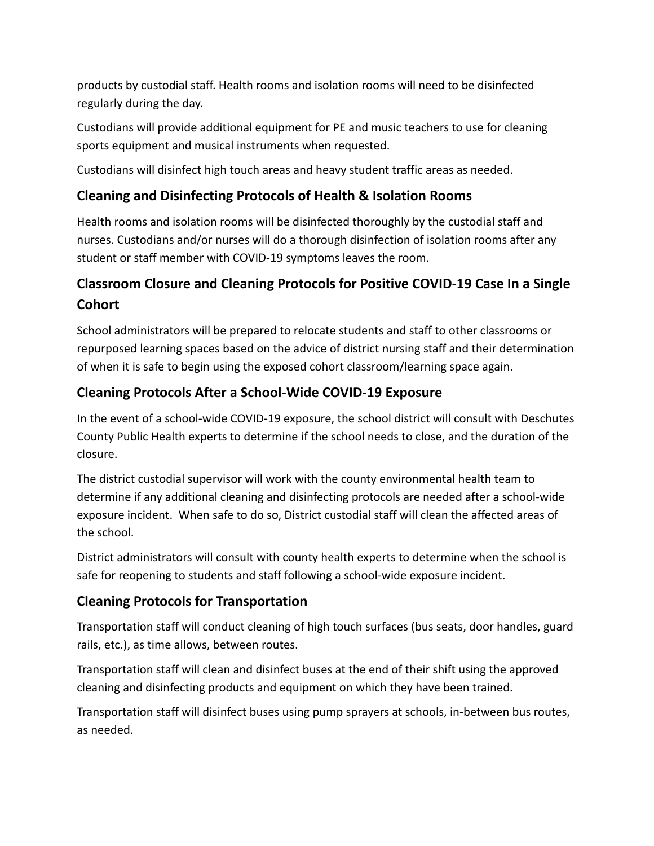products by custodial staff. Health rooms and isolation rooms will need to be disinfected regularly during the day.

Custodians will provide additional equipment for PE and music teachers to use for cleaning sports equipment and musical instruments when requested.

Custodians will disinfect high touch areas and heavy student traffic areas as needed.

## **Cleaning and Disinfecting Protocols of Health & Isolation Rooms**

Health rooms and isolation rooms will be disinfected thoroughly by the custodial staff and nurses. Custodians and/or nurses will do a thorough disinfection of isolation rooms after any student or staff member with COVID-19 symptoms leaves the room.

# **Classroom Closure and Cleaning Protocols for Positive COVID-19 Case In a Single Cohort**

School administrators will be prepared to relocate students and staff to other classrooms or repurposed learning spaces based on the advice of district nursing staff and their determination of when it is safe to begin using the exposed cohort classroom/learning space again.

## **Cleaning Protocols After a School-Wide COVID-19 Exposure**

In the event of a school-wide COVID-19 exposure, the school district will consult with Deschutes County Public Health experts to determine if the school needs to close, and the duration of the closure.

The district custodial supervisor will work with the county environmental health team to determine if any additional cleaning and disinfecting protocols are needed after a school-wide exposure incident. When safe to do so, District custodial staff will clean the affected areas of the school.

District administrators will consult with county health experts to determine when the school is safe for reopening to students and staff following a school-wide exposure incident.

### **Cleaning Protocols for Transportation**

Transportation staff will conduct cleaning of high touch surfaces (bus seats, door handles, guard rails, etc.), as time allows, between routes.

Transportation staff will clean and disinfect buses at the end of their shift using the approved cleaning and disinfecting products and equipment on which they have been trained.

Transportation staff will disinfect buses using pump sprayers at schools, in-between bus routes, as needed.